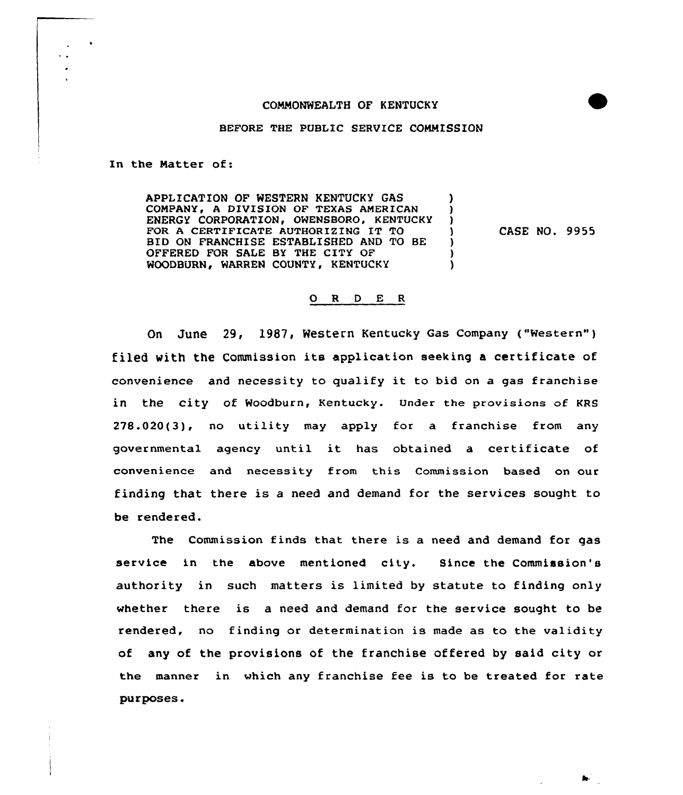## COMMONWEALTH OF KENTUCKY

## BEFORE THE PUBLIC SERVICE COMMISSION

In the Natter of:

APPLICATION OF WESTERN KENTUCKY GAS (0)<br>COMPANY, A DIVISION OF TEXAS AMERICAN (0) COMPANY, A DIVISION OF TEXAS AMERICAN )<br>ENERGY CORPORATION. OWENSBORO. KENTUCKY ) ENERGY CORPORATION, OWENSBORO, KENTUCKY )<br>FOR A CERTIFICATE AUTHORIZING IT TO FOR A CERTIFICATE AUTHORIZING IT TO  $\left\{\n\begin{array}{ccc}\n1 & 1 & 0 \\
1 & 1 & 0\n\end{array}\n\right\}$ BID ON FRANCHISE ESTABLISHED AND TO BE OFFERED FOR SALE BY THE CITY OF ) WOODBURN, WARREN COUNTY, KENTUCKY

CASE NO. 9955

## 0 <sup>R</sup> <sup>D</sup> E <sup>R</sup>

Qn June 29, 1987, Western Kentucky Gas company ("western"} filed with the Commission its application seeking <sup>a</sup> certificate of convenience and necessity to qualify it to bid on <sup>a</sup> gas franchise in the city of Woodburn, Kentucky. Under the provisions of KRS 278.020(3), no utility may apply for a franchise from any governmental agency until it has obtained <sup>a</sup> certificate of convenience and necessity from this Commission based on our finding that there is a need and demand for the services sought to be rendered.

The Commission finds that there is a need and demand for gas service in the above mentioned city. Since the Commission's authority in such matters is limited by statute to finding only whether there is a need and demand for the service sought to be rendered, no finding or determination is made as to the validity of any of the provisions of the franchise offered by said city or the manner in which any franchise fee is to be treated for rate purposes.

A.